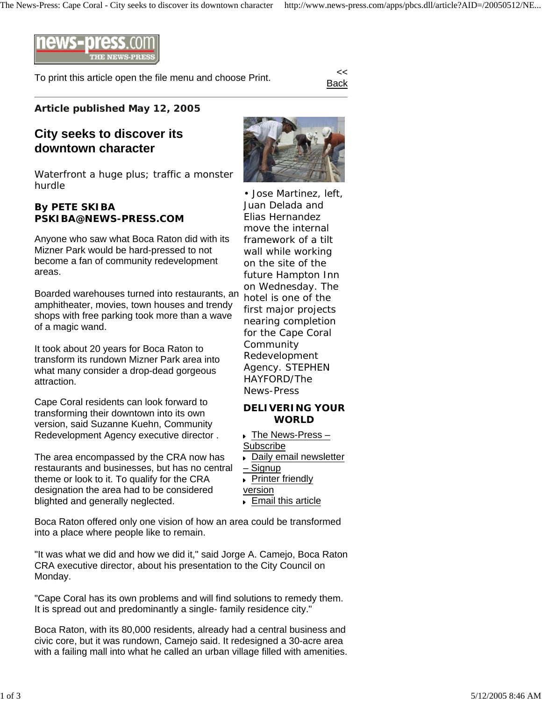

To print this article open the file menu and choose Print.

Back

## **Article published May 12, 2005**

## **City seeks to discover its downtown character**

Waterfront a huge plus; traffic a monster hurdle

## **By PETE SKIBA PSKIBA@NEWS-PRESS.COM**

Anyone who saw what Boca Raton did with its Mizner Park would be hard-pressed to not become a fan of community redevelopment areas.

Boarded warehouses turned into restaurants, an amphitheater, movies, town houses and trendy shops with free parking took more than a wave of a magic wand.

It took about 20 years for Boca Raton to transform its rundown Mizner Park area into what many consider a drop-dead gorgeous attraction.

Cape Coral residents can look forward to transforming their downtown into its own version, said Suzanne Kuehn, Community Redevelopment Agency executive director .

The area encompassed by the CRA now has restaurants and businesses, but has no central theme or look to it. To qualify for the CRA designation the area had to be considered blighted and generally neglected.

Boca Raton offered only one vision of how an area could be transformed into a place where people like to remain.

"It was what we did and how we did it," said Jorge A. Camejo, Boca Raton CRA executive director, about his presentation to the City Council on Monday.

"Cape Coral has its own problems and will find solutions to remedy them. It is spread out and predominantly a single- family residence city."

Boca Raton, with its 80,000 residents, already had a central business and civic core, but it was rundown, Camejo said. It redesigned a 30-acre area with a failing mall into what he called an urban village filled with amenities.



• Jose Martinez, left, Juan Delada and Elias Hernandez move the internal framework of a tilt wall while working on the site of the future Hampton Inn on Wednesday. The hotel is one of the first major projects nearing completion for the Cape Coral Community Redevelopment Agency. *STEPHEN HAYFORD/The News-Press*

## **DELIVERING YOUR WORLD**

- ▶ The News-Press -Subscribe
- **Daily email newsletter** – Signup
- **Printer friendly**
- version
- ▶ Email this article